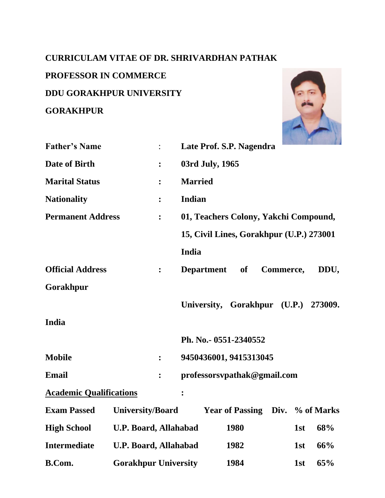# **CURRICULAM VITAE OF DR. SHRIVARDHAN PATHAK**

# **PROFESSOR IN COMMERCE**

**DDU GORAKHPUR UNIVERSITY**

# **GORAKHPUR**



| <b>Father's Name</b>           |                              |                | Late Prof. S.P. Nagendra                     |  |  |  |  |
|--------------------------------|------------------------------|----------------|----------------------------------------------|--|--|--|--|
| Date of Birth                  |                              | $\ddot{\cdot}$ | 03rd July, 1965                              |  |  |  |  |
| <b>Marital Status</b>          |                              | $\ddot{\cdot}$ | <b>Married</b>                               |  |  |  |  |
| <b>Nationality</b>             |                              | $\ddot{\cdot}$ | Indian                                       |  |  |  |  |
| <b>Permanent Address</b>       |                              | :              | 01, Teachers Colony, Yakchi Compound,        |  |  |  |  |
|                                |                              |                | 15, Civil Lines, Gorakhpur (U.P.) 273001     |  |  |  |  |
|                                |                              |                | India                                        |  |  |  |  |
| <b>Official Address</b>        |                              | $\ddot{\cdot}$ | Commerce,<br>DDU,<br><b>Department</b><br>of |  |  |  |  |
| Gorakhpur                      |                              |                |                                              |  |  |  |  |
|                                |                              |                | University, Gorakhpur (U.P.) 273009.         |  |  |  |  |
| India                          |                              |                |                                              |  |  |  |  |
|                                |                              |                | Ph. No.- 0551-2340552                        |  |  |  |  |
| <b>Mobile</b>                  |                              | $\ddot{\cdot}$ | 9450436001, 9415313045                       |  |  |  |  |
| <b>Email</b>                   |                              | $\ddot{\cdot}$ | professorsvpathak@gmail.com                  |  |  |  |  |
| <b>Academic Qualifications</b> |                              |                | $\ddot{\cdot}$                               |  |  |  |  |
| <b>Exam Passed</b>             | <b>University/Board</b>      |                | Year of Passing Div. % of Marks              |  |  |  |  |
| <b>High School</b>             | <b>U.P. Board, Allahabad</b> |                | 1980<br>68%<br>1st                           |  |  |  |  |
| <b>Intermediate</b>            | <b>U.P. Board, Allahabad</b> |                | 1982<br>1st<br>66%                           |  |  |  |  |
| <b>B.Com.</b>                  | <b>Gorakhpur University</b>  |                | 1984<br>65%<br>1st                           |  |  |  |  |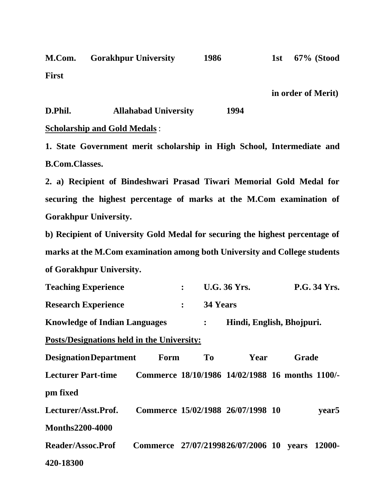**M.Com. Gorakhpur University 1986 1st 67% (Stood First** 

**in order of Merit)**

### **D.Phil. Allahabad University 1994**

## **Scholarship and Gold Medals** :

**1. State Government merit scholarship in High School, Intermediate and B.Com.Classes.**

**2. a) Recipient of Bindeshwari Prasad Tiwari Memorial Gold Medal for securing the highest percentage of marks at the M.Com examination of Gorakhpur University.** 

**b) Recipient of University Gold Medal for securing the highest percentage of marks at the M.Com examination among both University and College students of Gorakhpur University.**

| <b>Teaching Experience</b>                        |                                                |                  |                           | <b>U.G. 36 Yrs.</b>                             |  |       | <b>P.G. 34 Yrs.</b> |
|---------------------------------------------------|------------------------------------------------|------------------|---------------------------|-------------------------------------------------|--|-------|---------------------|
| <b>Research Experience</b>                        |                                                | $\ddot{\bullet}$ | 34 Years                  |                                                 |  |       |                     |
| <b>Knowledge of Indian Languages</b>              |                                                | $\ddot{\cdot}$   | Hindi, English, Bhojpuri. |                                                 |  |       |                     |
| <u>Posts/Designations held in the University:</u> |                                                |                  |                           |                                                 |  |       |                     |
| <b>Designation Department</b>                     | Form                                           |                  | To                        | Year                                            |  | Grade |                     |
| <b>Lecturer Part-time</b>                         |                                                |                  |                           | Commerce 18/10/1986 14/02/1988 16 months 1100/- |  |       |                     |
| pm fixed                                          |                                                |                  |                           |                                                 |  |       |                     |
| Lecturer/Asst.Prof.                               |                                                |                  |                           | Commerce 15/02/1988 26/07/1998 10               |  |       | year <sub>5</sub>   |
| <b>Months2200-4000</b>                            |                                                |                  |                           |                                                 |  |       |                     |
| <b>Reader/Assoc.Prof</b>                          | Commerce 27/07/2199826/07/2006 10 years 12000- |                  |                           |                                                 |  |       |                     |
| 420-18300                                         |                                                |                  |                           |                                                 |  |       |                     |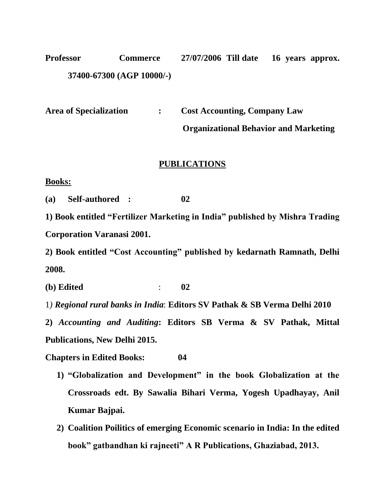**Professor Commerce 27/07/2006 Till date 16 years approx. 37400-67300 (AGP 10000/-)**

**Area of Specialization : Cost Accounting, Company Law**

 **Organizational Behavior and Marketing**

# **PUBLICATIONS**

**Books:**

**(a) Self-authored : 02**

**1) Book entitled "Fertilizer Marketing in India" published by Mishra Trading Corporation Varanasi 2001.**

**2) Book entitled "Cost Accounting" published by kedarnath Ramnath, Delhi 2008.**

**(b) Edited** : **02**

1*) Regional rural banks in India*: **Editors SV Pathak & SB Verma Delhi 2010**

**2)** *Accounting and Auditing***: Editors SB Verma & SV Pathak, Mittal Publications, New Delhi 2015.**

**Chapters in Edited Books: 04**

- **1) "Globalization and Development" in the book Globalization at the Crossroads edt. By Sawalia Bihari Verma, Yogesh Upadhayay, Anil Kumar Bajpai.**
- **2) Coalition Poilitics of emerging Economic scenario in India: In the edited book" gatbandhan ki rajneeti" A R Publications, Ghaziabad, 2013.**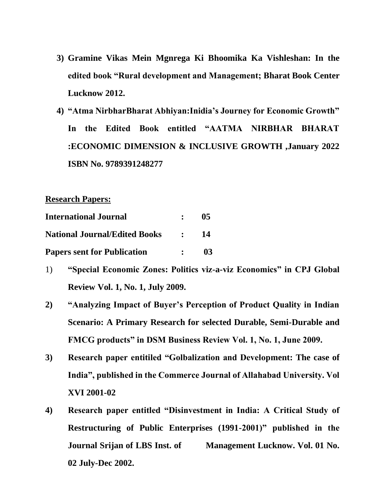- **3) Gramine Vikas Mein Mgnrega Ki Bhoomika Ka Vishleshan: In the edited book "Rural development and Management; Bharat Book Center Lucknow 2012.**
- **4) "Atma NirbharBharat Abhiyan:Inidia's Journey for Economic Growth" In the Edited Book entitled "AATMA NIRBHAR BHARAT :ECONOMIC DIMENSION & INCLUSIVE GROWTH ,January 2022 ISBN No. 9789391248277**

**Research Papers:**

| <b>International Journal</b>         | $\mathbf{r}$                            | 0 <sub>5</sub> |
|--------------------------------------|-----------------------------------------|----------------|
| <b>National Journal/Edited Books</b> | $\mathcal{L} = \mathcal{L} \mathcal{L}$ | -14            |
| <b>Papers sent for Publication</b>   | $\bullet$ .<br><br><br><br><br><br>     | 03             |

- 1) **"Special Economic Zones: Politics viz-a-viz Economics" in CPJ Global Review Vol. 1, No. 1, July 2009.**
- **2) "Analyzing Impact of Buyer's Perception of Product Quality in Indian Scenario: A Primary Research for selected Durable, Semi-Durable and FMCG products" in DSM Business Review Vol. 1, No. 1, June 2009.**
- **3) Research paper entitiled "Golbalization and Development: The case of India", published in the Commerce Journal of Allahabad University. Vol XVI 2001-02**
- **4) Research paper entitled "Disinvestment in India: A Critical Study of Restructuring of Public Enterprises (1991-2001)" published in the Journal Srijan of LBS Inst. of Management Lucknow. Vol. 01 No. 02 July-Dec 2002.**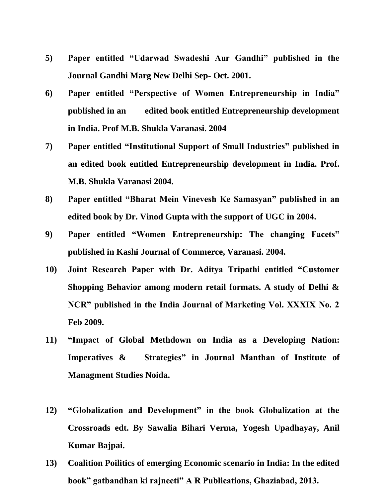- **5) Paper entitled "Udarwad Swadeshi Aur Gandhi" published in the Journal Gandhi Marg New Delhi Sep- Oct. 2001.**
- **6) Paper entitled "Perspective of Women Entrepreneurship in India" published in an edited book entitled Entrepreneurship development in India. Prof M.B. Shukla Varanasi. 2004**
- **7) Paper entitled "Institutional Support of Small Industries" published in an edited book entitled Entrepreneurship development in India. Prof. M.B. Shukla Varanasi 2004.**
- **8) Paper entitled "Bharat Mein Vinevesh Ke Samasyan" published in an edited book by Dr. Vinod Gupta with the support of UGC in 2004.**
- **9) Paper entitled "Women Entrepreneurship: The changing Facets" published in Kashi Journal of Commerce, Varanasi. 2004.**
- **10) Joint Research Paper with Dr. Aditya Tripathi entitled "Customer Shopping Behavior among modern retail formats. A study of Delhi & NCR" published in the India Journal of Marketing Vol. XXXIX No. 2 Feb 2009.**
- **11) "Impact of Global Methdown on India as a Developing Nation: Imperatives & Strategies" in Journal Manthan of Institute of Managment Studies Noida.**
- **12) "Globalization and Development" in the book Globalization at the Crossroads edt. By Sawalia Bihari Verma, Yogesh Upadhayay, Anil Kumar Bajpai.**
- **13) Coalition Poilitics of emerging Economic scenario in India: In the edited book" gatbandhan ki rajneeti" A R Publications, Ghaziabad, 2013.**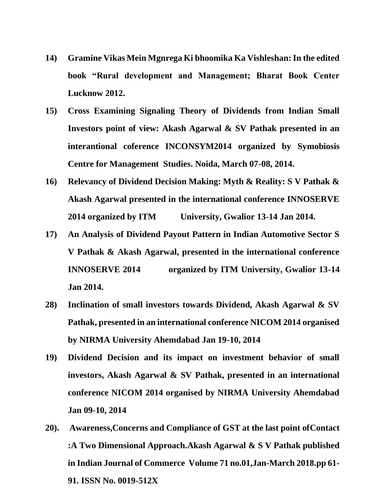- **14) Gramine Vikas Mein Mgnrega Ki bhoomika Ka Vishleshan: In the edited book "Rural development and Management; Bharat Book Center Lucknow 2012.**
- **15) Cross Examining Signaling Theory of Dividends from Indian Small Investors point of view: Akash Agarwal & SV Pathak presented in an interantional coference INCONSYM2014 organized by Symobiosis Centre for Management Studies. Noida, March 07-08, 2014.**
- **16) Relevancy of Dividend Decision Making: Myth & Reality: S V Pathak & Akash Agarwal presented in the international conference INNOSERVE 2014 organized by ITM University, Gwalior 13-14 Jan 2014.**
- **17) An Analysis of Dividend Payout Pattern in Indian Automotive Sector S V Pathak & Akash Agarwal, presented in the international conference INNOSERVE 2014 organized by ITM University, Gwalior 13-14 Jan 2014.**
- **28) Inclination of small investors towards Dividend, Akash Agarwal & SV Pathak, presented in an international conference NICOM 2014 organised by NIRMA University Ahemdabad Jan 19-10, 2014**
- **19) Dividend Decision and its impact on investment behavior of small investors, Akash Agarwal & SV Pathak, presented in an international conference NICOM 2014 organised by NIRMA University Ahemdabad Jan 09-10, 2014**
- **20). Awareness,Concerns and Compliance of GST at the last point ofContact :A Two Dimensional Approach.Akash Agarwal & S V Pathak published in Indian Journal of Commerce Volume 71 no.01,Jan-March 2018.pp 61- 91. ISSN No. 0019-512X**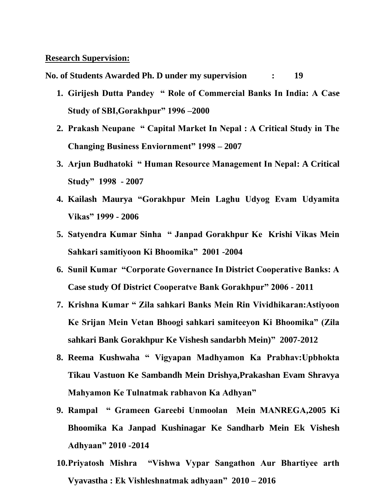#### **Research Supervision:**

**No. of Students Awarded Ph. D under my supervision : 19**

- **1. Girijesh Dutta Pandey " Role of Commercial Banks In India: A Case Study of SBI,Gorakhpur" 1996 –2000**
- **2. Prakash Neupane " Capital Market In Nepal : A Critical Study in The Changing Business Enviornment" 1998 – 2007**
- **3. Arjun Budhatoki " Human Resource Management In Nepal: A Critical Study" 1998 - 2007**
- **4. Kailash Maurya "Gorakhpur Mein Laghu Udyog Evam Udyamita Vikas" 1999 - 2006**
- **5. Satyendra Kumar Sinha " Janpad Gorakhpur Ke Krishi Vikas Mein Sahkari samitiyoon Ki Bhoomika" 2001 -2004**
- **6. Sunil Kumar "Corporate Governance In District Cooperative Banks: A Case study Of District Cooperatve Bank Gorakhpur" 2006 - 2011**
- **7. Krishna Kumar " Zila sahkari Banks Mein Rin Vividhikaran:Astiyoon Ke Srijan Mein Vetan Bhoogi sahkari samiteeyon Ki Bhoomika" (Zila sahkari Bank Gorakhpur Ke Vishesh sandarbh Mein)" 2007-2012**
- **8. Reema Kushwaha " Vigyapan Madhyamon Ka Prabhav:Upbhokta Tikau Vastuon Ke Sambandh Mein Drishya,Prakashan Evam Shravya Mahyamon Ke Tulnatmak rabhavon Ka Adhyan"**
- **9. Rampal " Grameen Gareebi Unmoolan Mein MANREGA,2005 Ki Bhoomika Ka Janpad Kushinagar Ke Sandharb Mein Ek Vishesh Adhyaan" 2010 -2014**
- **10.Priyatosh Mishra "Vishwa Vypar Sangathon Aur Bhartiyee arth Vyavastha : Ek Vishleshnatmak adhyaan" 2010 – 2016**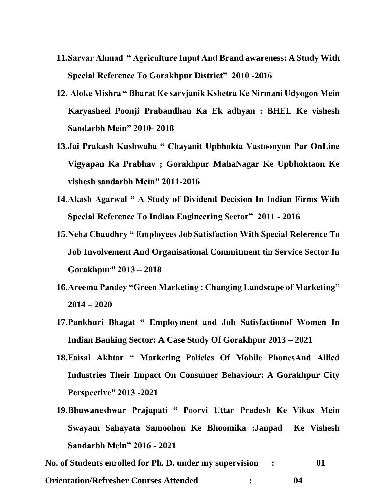- **11.Sarvar Ahmad " Agriculture Input And Brand awareness: A Study With Special Reference To Gorakhpur District" 2010 -2016**
- **12. Aloke Mishra " Bharat Ke sarvjanik Kshetra Ke Nirmani Udyogon Mein Karyasheel Poonji Prabandhan Ka Ek adhyan : BHEL Ke vishesh Sandarbh Mein" 2010- 2018**
- **13.Jai Prakash Kushwaha " Chayanit Upbhokta Vastoonyon Par OnLine Vigyapan Ka Prabhav ; Gorakhpur MahaNagar Ke Upbhoktaon Ke vishesh sandarbh Mein" 2011-2016**
- **14.Akash Agarwal " A Study of Dividend Decision In Indian Firms With Special Reference To Indian Engineering Sector" 2011 - 2016**
- **15.Neha Chaudhry " Employees Job Satisfaction With Special Reference To Job Involvement And Organisational Commitment tin Service Sector In Gorakhpur" 2013 – 2018**
- **16.Areema Pandey "Green Marketing : Changing Landscape of Marketing" 2014 – 2020**
- **17.Pankhuri Bhagat " Employment and Job Satisfactionof Women In Indian Banking Sector: A Case Study Of Gorakhpur 2013 – 2021**
- **18.Faisal Akhtar " Marketing Policies Of Mobile PhonesAnd Allied Industries Their Impact On Consumer Behaviour: A Gorakhpur City Perspective" 2013 -2021**
- **19.Bhuwaneshwar Prajapati " Poorvi Uttar Pradesh Ke Vikas Mein Swayam Sahayata Samoohon Ke Bhoomika :Janpad Ke Vishesh Sandarbh Mein" 2016 - 2021**

**No. of Students enrolled for Ph. D. under my supervision : 01 Orientation/Refresher Courses Attended : 04**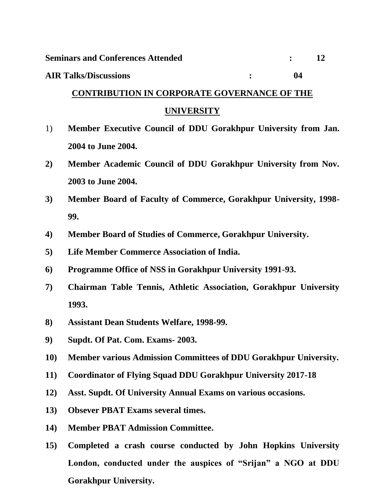#### **AIR Talks/Discussions : 04**

# **CONTRIBUTION IN CORPORATE GOVERNANCE OF THE**

# **UNIVERSITY**

- 1) **Member Executive Council of DDU Gorakhpur University from Jan. 2004 to June 2004.**
- **2) Member Academic Council of DDU Gorakhpur University from Nov. 2003 to June 2004.**
- **3) Member Board of Faculty of Commerce, Gorakhpur University, 1998- 99.**
- **4) Member Board of Studies of Commerce, Gorakhpur University.**
- **5) Life Member Commerce Association of India.**
- **6) Programme Office of NSS in Gorakhpur University 1991-93.**
- **7) Chairman Table Tennis, Athletic Association, Gorakhpur University 1993.**
- **8) Assistant Dean Students Welfare, 1998-99.**
- **9) Supdt. Of Pat. Com. Exams- 2003.**
- **10) Member various Admission Committees of DDU Gorakhpur University.**
- **11) Coordinator of Flying Squad DDU Gorakhpur University 2017-18**
- **12) Asst. Supdt. Of University Annual Exams on various occasions.**
- **13) Obsever PBAT Exams several times.**
- **14) Member PBAT Admission Committee.**
- **15) Completed a crash course conducted by John Hopkins University London, conducted under the auspices of "Srijan" a NGO at DDU Gorakhpur University.**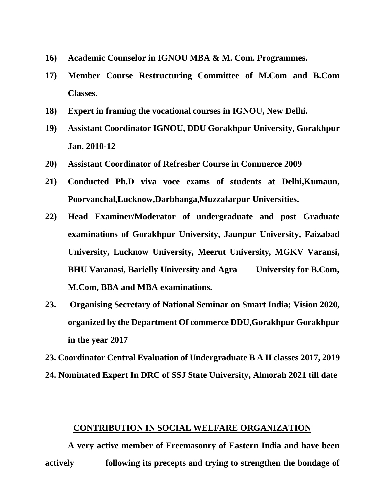- **16) Academic Counselor in IGNOU MBA & M. Com. Programmes.**
- **17) Member Course Restructuring Committee of M.Com and B.Com Classes.**
- **18) Expert in framing the vocational courses in IGNOU, New Delhi.**
- **19) Assistant Coordinator IGNOU, DDU Gorakhpur University, Gorakhpur Jan. 2010-12**
- **20) Assistant Coordinator of Refresher Course in Commerce 2009**
- **21) Conducted Ph.D viva voce exams of students at Delhi,Kumaun, Poorvanchal,Lucknow,Darbhanga,Muzzafarpur Universities.**
- **22) Head Examiner/Moderator of undergraduate and post Graduate examinations of Gorakhpur University, Jaunpur University, Faizabad University, Lucknow University, Meerut University, MGKV Varansi, BHU Varanasi, Barielly University and Agra University for B.Com, M.Com, BBA and MBA examinations.**
- **23. Organising Secretary of National Seminar on Smart India; Vision 2020, organized by the Department Of commerce DDU,Gorakhpur Gorakhpur in the year 2017**

**23. Coordinator Central Evaluation of Undergraduate B A II classes 2017, 2019**

**24. Nominated Expert In DRC of SSJ State University, Almorah 2021 till date**

#### **CONTRIBUTION IN SOCIAL WELFARE ORGANIZATION**

**A very active member of Freemasonry of Eastern India and have been actively following its precepts and trying to strengthen the bondage of**